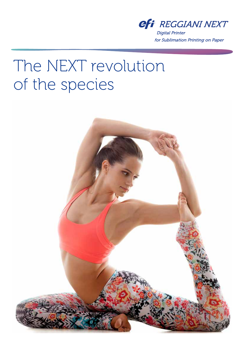

**Digital Printer** for Sublimation Printing on Paper

# The NEXT revolution of the species

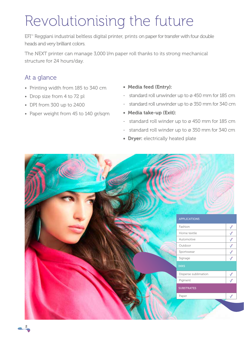## Revolutionising the future

EFI<sup>™</sup> Reggiani industrial beltless digital printer, prints on paper for transfer with four double heads and very brilliant colors.

The NEXT printer can manage 3,000 l/m paper roll thanks to its strong mechanical structure for 24 hours/day.

### At a glance

- Printing width from 185 to 340 cm
- Drop size from 4 to 72 pl
- DPI from 300 up to 2400
- Paper weight from 45 to 140 gr/sqm
- Media feed (Entry):
- standard roll unwinder up to ø 450 mm for 185 cm
- standard roll unwinder up to ø 350 mm for 340 cm
- Media take-up (Exit):
- standard roll winder up to ø 450 mm for 185 cm
- standard roll winder up to  $\varnothing$  350 mm for 340 cm
- Dryer: electrically heated plate

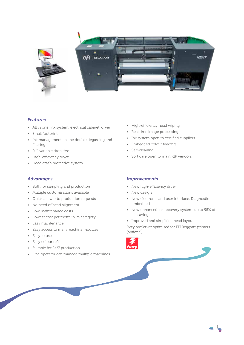

#### *Features*

- All in one: ink system, electrical cabinet, dryer
- Small footprint
- Ink management: in line double degassing and filtering
- Full variable drop size
- High-efficiency dryer
- Head crash protective system

#### *Advantages*

- Both for sampling and production
- Multiple customisations available
- Quick answer to production requests
- No need of head alignment
- Low maintenance costs
- Lowest cost per metre in its category
- Easy maintenance
- Easy access to main machine modules
- Easy to use
- Easy colour refill
- Suitable for 24/7 production
- One operator can manage multiple machines
- High-efficiency head wiping
- Real time image processing
- Ink system open to certified suppliers
- Embedded colour feeding
- Self-cleaning
- Software open to main RIP vendors

#### *Improvements*

- New high-efficiency dryer
- New design
- New electronic and user interface. Diagnostic embedded
- New enhanced ink recovery system, up to 95% of ink saving
- Improved and simplified head layout

Fiery proServer optimised for EFI Reggiani printers (optional)